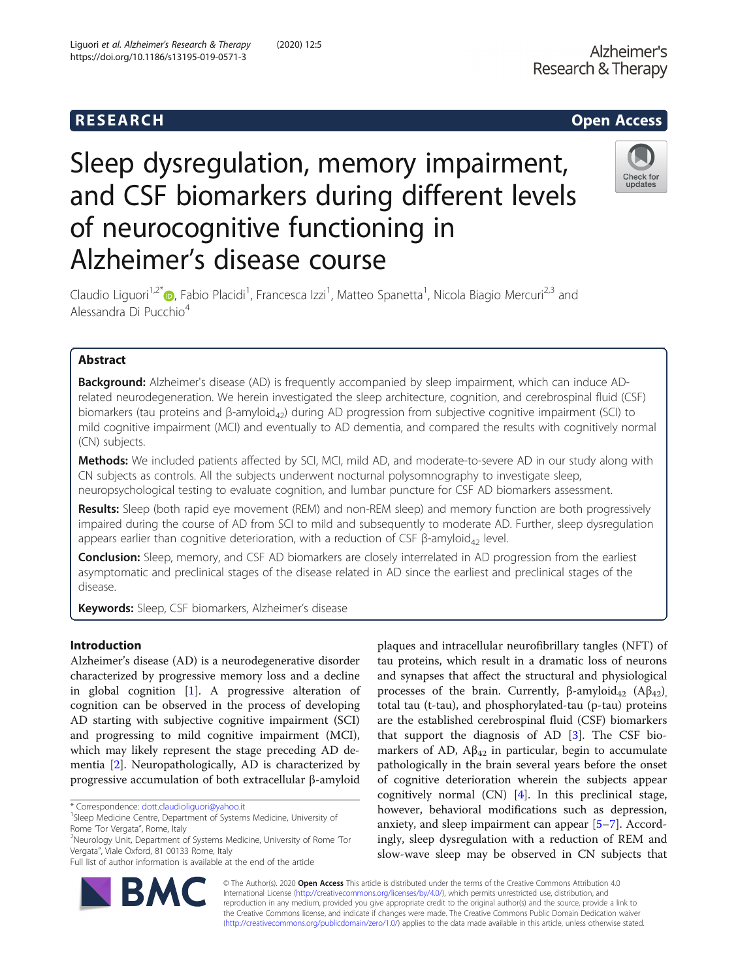## **RESEARCH CHILD CONTROL** CONTROL CONTROL CONTROL CONTROL CONTROL CONTROL CONTROL CONTROL CONTROL CONTROL CONTROL CONTROL CONTROL CONTROL CONTROL CONTROL CONTROL CONTROL CONTROL CONTROL CONTROL CONTROL CONTROL CONTROL CONTR

# Sleep dysregulation, memory impairment, and CSF biomarkers during different levels of neurocognitive functioning in Alzheimer's disease course



Claudio Liguori<sup>1[,](http://orcid.org/0000-0003-2845-1332)2\*</sup>®, Fabio Placidi<sup>1</sup>, Francesca Izzi<sup>1</sup>, Matteo Spanetta<sup>1</sup>, Nicola Biagio Mercuri<sup>2,3</sup> and Alessandra Di Pucchio<sup>4</sup>

### Abstract

**Background:** Alzheimer's disease (AD) is frequently accompanied by sleep impairment, which can induce ADrelated neurodegeneration. We herein investigated the sleep architecture, cognition, and cerebrospinal fluid (CSF) biomarkers (tau proteins and β-amyloid<sub>42</sub>) during AD progression from subjective cognitive impairment (SCI) to mild cognitive impairment (MCI) and eventually to AD dementia, and compared the results with cognitively normal (CN) subjects.

Methods: We included patients affected by SCI, MCI, mild AD, and moderate-to-severe AD in our study along with CN subjects as controls. All the subjects underwent nocturnal polysomnography to investigate sleep, neuropsychological testing to evaluate cognition, and lumbar puncture for CSF AD biomarkers assessment.

Results: Sleep (both rapid eye movement (REM) and non-REM sleep) and memory function are both progressively impaired during the course of AD from SCI to mild and subsequently to moderate AD. Further, sleep dysregulation appears earlier than cognitive deterioration, with a reduction of CSF β-amyloid<sub>42</sub> level.

Conclusion: Sleep, memory, and CSF AD biomarkers are closely interrelated in AD progression from the earliest asymptomatic and preclinical stages of the disease related in AD since the earliest and preclinical stages of the disease.

Keywords: Sleep, CSF biomarkers, Alzheimer's disease

#### Introduction

Alzheimer's disease (AD) is a neurodegenerative disorder characterized by progressive memory loss and a decline in global cognition [\[1](#page-11-0)]. A progressive alteration of cognition can be observed in the process of developing AD starting with subjective cognitive impairment (SCI) and progressing to mild cognitive impairment (MCI), which may likely represent the stage preceding AD dementia [[2\]](#page-11-0). Neuropathologically, AD is characterized by progressive accumulation of both extracellular β-amyloid

\* Correspondence: [dott.claudioliguori@yahoo.it](mailto:dott.claudioliguori@yahoo.it) <sup>1</sup>

BA

Full list of author information is available at the end of the article



© The Author(s). 2020 **Open Access** This article is distributed under the terms of the Creative Commons Attribution 4.0 International License [\(http://creativecommons.org/licenses/by/4.0/](http://creativecommons.org/licenses/by/4.0/)), which permits unrestricted use, distribution, and reproduction in any medium, provided you give appropriate credit to the original author(s) and the source, provide a link to the Creative Commons license, and indicate if changes were made. The Creative Commons Public Domain Dedication waiver [\(http://creativecommons.org/publicdomain/zero/1.0/](http://creativecommons.org/publicdomain/zero/1.0/)) applies to the data made available in this article, unless otherwise stated.

<sup>&</sup>lt;sup>1</sup>Sleep Medicine Centre, Department of Systems Medicine, University of Rome 'Tor Vergata", Rome, Italy

<sup>&</sup>lt;sup>2</sup>Neurology Unit, Department of Systems Medicine, University of Rome 'Tor Vergata", Viale Oxford, 81 00133 Rome, Italy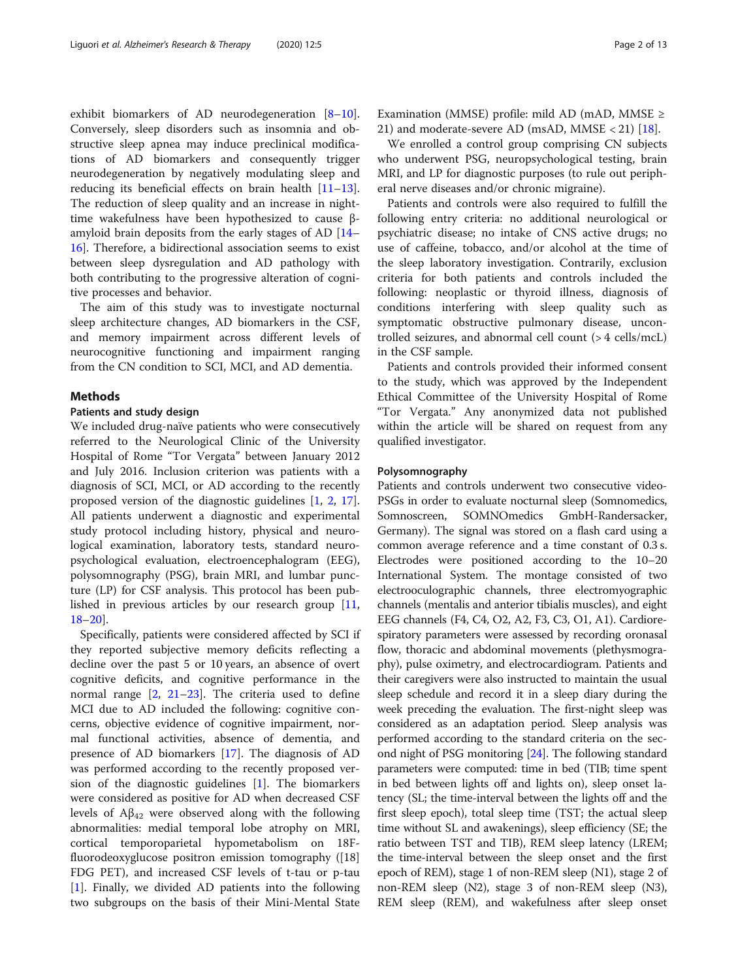exhibit biomarkers of AD neurodegeneration [[8](#page-11-0)–[10](#page-11-0)]. Conversely, sleep disorders such as insomnia and obstructive sleep apnea may induce preclinical modifications of AD biomarkers and consequently trigger neurodegeneration by negatively modulating sleep and reducing its beneficial effects on brain health [[11](#page-11-0)–[13](#page-11-0)]. The reduction of sleep quality and an increase in nighttime wakefulness have been hypothesized to cause βamyloid brain deposits from the early stages of AD [[14](#page-11-0)– [16\]](#page-11-0). Therefore, a bidirectional association seems to exist between sleep dysregulation and AD pathology with both contributing to the progressive alteration of cognitive processes and behavior.

The aim of this study was to investigate nocturnal sleep architecture changes, AD biomarkers in the CSF, and memory impairment across different levels of neurocognitive functioning and impairment ranging from the CN condition to SCI, MCI, and AD dementia.

#### Methods

#### Patients and study design

We included drug-naïve patients who were consecutively referred to the Neurological Clinic of the University Hospital of Rome "Tor Vergata" between January 2012 and July 2016. Inclusion criterion was patients with a diagnosis of SCI, MCI, or AD according to the recently proposed version of the diagnostic guidelines [[1](#page-11-0), [2](#page-11-0), [17](#page-11-0)]. All patients underwent a diagnostic and experimental study protocol including history, physical and neurological examination, laboratory tests, standard neuropsychological evaluation, electroencephalogram (EEG), polysomnography (PSG), brain MRI, and lumbar puncture (LP) for CSF analysis. This protocol has been published in previous articles by our research group [[11](#page-11-0), [18](#page-11-0)–[20](#page-11-0)].

Specifically, patients were considered affected by SCI if they reported subjective memory deficits reflecting a decline over the past 5 or 10 years, an absence of overt cognitive deficits, and cognitive performance in the normal range [[2,](#page-11-0) [21](#page-11-0)–[23\]](#page-11-0). The criteria used to define MCI due to AD included the following: cognitive concerns, objective evidence of cognitive impairment, normal functional activities, absence of dementia, and presence of AD biomarkers [\[17](#page-11-0)]. The diagnosis of AD was performed according to the recently proposed version of the diagnostic guidelines  $[1]$  $[1]$ . The biomarkers were considered as positive for AD when decreased CSF levels of  $A\beta_{42}$  were observed along with the following abnormalities: medial temporal lobe atrophy on MRI, cortical temporoparietal hypometabolism on 18Ffluorodeoxyglucose positron emission tomography ([18] FDG PET), and increased CSF levels of t-tau or p-tau [[1\]](#page-11-0). Finally, we divided AD patients into the following two subgroups on the basis of their Mini-Mental State Examination (MMSE) profile: mild AD (mAD, MMSE  $\geq$ 21) and moderate-severe AD (msAD, MMSE < 21)  $[18]$  $[18]$ .

We enrolled a control group comprising CN subjects who underwent PSG, neuropsychological testing, brain MRI, and LP for diagnostic purposes (to rule out peripheral nerve diseases and/or chronic migraine).

Patients and controls were also required to fulfill the following entry criteria: no additional neurological or psychiatric disease; no intake of CNS active drugs; no use of caffeine, tobacco, and/or alcohol at the time of the sleep laboratory investigation. Contrarily, exclusion criteria for both patients and controls included the following: neoplastic or thyroid illness, diagnosis of conditions interfering with sleep quality such as symptomatic obstructive pulmonary disease, uncontrolled seizures, and abnormal cell count (> 4 cells/mcL) in the CSF sample.

Patients and controls provided their informed consent to the study, which was approved by the Independent Ethical Committee of the University Hospital of Rome "Tor Vergata." Any anonymized data not published within the article will be shared on request from any qualified investigator.

#### Polysomnography

Patients and controls underwent two consecutive video-PSGs in order to evaluate nocturnal sleep (Somnomedics, Somnoscreen, SOMNOmedics GmbH-Randersacker, Germany). The signal was stored on a flash card using a common average reference and a time constant of 0.3 s. Electrodes were positioned according to the 10–20 International System. The montage consisted of two electrooculographic channels, three electromyographic channels (mentalis and anterior tibialis muscles), and eight EEG channels (F4, C4, O2, A2, F3, C3, O1, A1). Cardiorespiratory parameters were assessed by recording oronasal flow, thoracic and abdominal movements (plethysmography), pulse oximetry, and electrocardiogram. Patients and their caregivers were also instructed to maintain the usual sleep schedule and record it in a sleep diary during the week preceding the evaluation. The first-night sleep was considered as an adaptation period. Sleep analysis was performed according to the standard criteria on the second night of PSG monitoring [\[24\]](#page-11-0). The following standard parameters were computed: time in bed (TIB; time spent in bed between lights off and lights on), sleep onset latency (SL; the time-interval between the lights off and the first sleep epoch), total sleep time (TST; the actual sleep time without SL and awakenings), sleep efficiency (SE; the ratio between TST and TIB), REM sleep latency (LREM; the time-interval between the sleep onset and the first epoch of REM), stage 1 of non-REM sleep (N1), stage 2 of non-REM sleep (N2), stage 3 of non-REM sleep (N3), REM sleep (REM), and wakefulness after sleep onset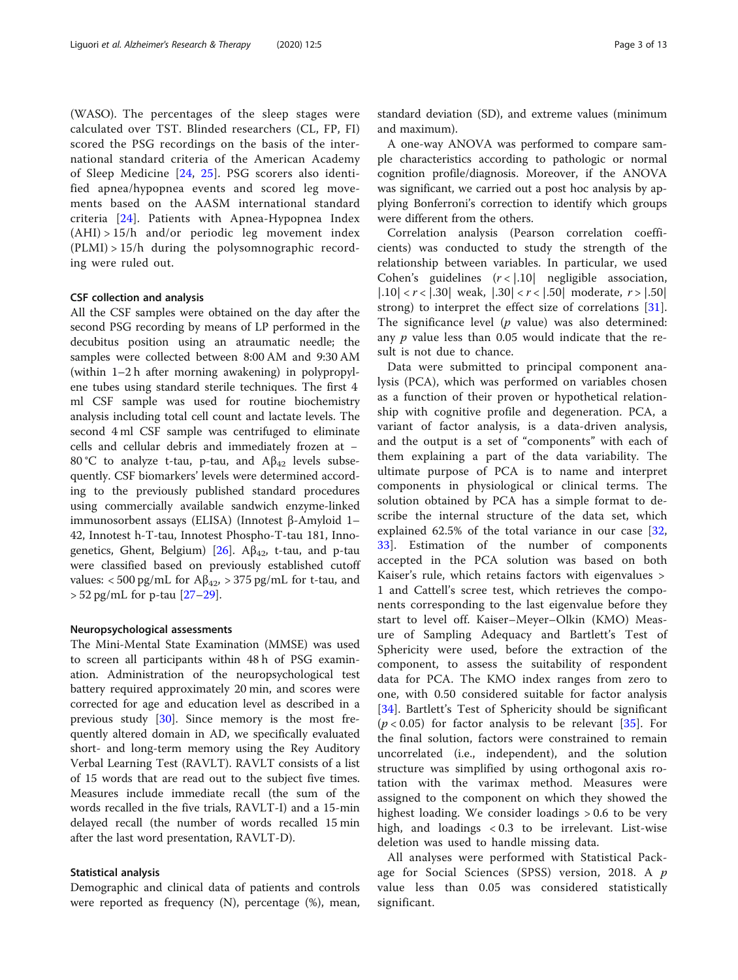(WASO). The percentages of the sleep stages were calculated over TST. Blinded researchers (CL, FP, FI) scored the PSG recordings on the basis of the international standard criteria of the American Academy of Sleep Medicine [[24](#page-11-0), [25](#page-11-0)]. PSG scorers also identified apnea/hypopnea events and scored leg movements based on the AASM international standard criteria [[24](#page-11-0)]. Patients with Apnea-Hypopnea Index  $(AHI) > 15/h$  and/or periodic leg movement index (PLMI) > 15/h during the polysomnographic recording were ruled out.

#### CSF collection and analysis

All the CSF samples were obtained on the day after the second PSG recording by means of LP performed in the decubitus position using an atraumatic needle; the samples were collected between 8:00 AM and 9:30 AM (within 1–2 h after morning awakening) in polypropylene tubes using standard sterile techniques. The first 4 ml CSF sample was used for routine biochemistry analysis including total cell count and lactate levels. The second 4 ml CSF sample was centrifuged to eliminate cells and cellular debris and immediately frozen at − 80 °C to analyze t-tau, p-tau, and  $A\beta_{42}$  levels subsequently. CSF biomarkers' levels were determined according to the previously published standard procedures using commercially available sandwich enzyme-linked immunosorbent assays (ELISA) (Innotest β-Amyloid 1– 42, Innotest h-T-tau, Innotest Phospho-T-tau 181, Innogenetics, Ghent, Belgium) [ $26$ ]. A $\beta_{42}$ , t-tau, and p-tau were classified based on previously established cutoff values: < 500 pg/mL for  $A\beta_{42}$ , > 375 pg/mL for t-tau, and  $> 52$  pg/mL for p-tau  $[27-29]$  $[27-29]$  $[27-29]$ .

#### Neuropsychological assessments

The Mini-Mental State Examination (MMSE) was used to screen all participants within 48 h of PSG examination. Administration of the neuropsychological test battery required approximately 20 min, and scores were corrected for age and education level as described in a previous study [[30](#page-11-0)]. Since memory is the most frequently altered domain in AD, we specifically evaluated short- and long-term memory using the Rey Auditory Verbal Learning Test (RAVLT). RAVLT consists of a list of 15 words that are read out to the subject five times. Measures include immediate recall (the sum of the words recalled in the five trials, RAVLT-I) and a 15-min delayed recall (the number of words recalled 15 min after the last word presentation, RAVLT-D).

#### Statistical analysis

Demographic and clinical data of patients and controls were reported as frequency (N), percentage (%), mean,

standard deviation (SD), and extreme values (minimum and maximum).

A one-way ANOVA was performed to compare sample characteristics according to pathologic or normal cognition profile/diagnosis. Moreover, if the ANOVA was significant, we carried out a post hoc analysis by applying Bonferroni's correction to identify which groups were different from the others.

Correlation analysis (Pearson correlation coefficients) was conducted to study the strength of the relationship between variables. In particular, we used Cohen's guidelines  $(r < |.10|$  negligible association, |.10|  $\langle r \rangle$  |.30| weak,  $|.30|$   $\langle r \rangle$  |.50| moderate,  $r$  > |.50| strong) to interpret the effect size of correlations [\[31](#page-12-0)]. The significance level  $(p \text{ value})$  was also determined: any  $p$  value less than 0.05 would indicate that the result is not due to chance.

Data were submitted to principal component analysis (PCA), which was performed on variables chosen as a function of their proven or hypothetical relationship with cognitive profile and degeneration. PCA, a variant of factor analysis, is a data-driven analysis, and the output is a set of "components" with each of them explaining a part of the data variability. The ultimate purpose of PCA is to name and interpret components in physiological or clinical terms. The solution obtained by PCA has a simple format to describe the internal structure of the data set, which explained 62.5% of the total variance in our case [\[32](#page-12-0), [33\]](#page-12-0). Estimation of the number of components accepted in the PCA solution was based on both Kaiser's rule, which retains factors with eigenvalues > 1 and Cattell's scree test, which retrieves the components corresponding to the last eigenvalue before they start to level off. Kaiser–Meyer–Olkin (KMO) Measure of Sampling Adequacy and Bartlett's Test of Sphericity were used, before the extraction of the component, to assess the suitability of respondent data for PCA. The KMO index ranges from zero to one, with 0.50 considered suitable for factor analysis [[34\]](#page-12-0). Bartlett's Test of Sphericity should be significant  $(p < 0.05)$  for factor analysis to be relevant [[35\]](#page-12-0). For the final solution, factors were constrained to remain uncorrelated (i.e., independent), and the solution structure was simplified by using orthogonal axis rotation with the varimax method. Measures were assigned to the component on which they showed the highest loading. We consider loadings > 0.6 to be very high, and loadings < 0.3 to be irrelevant. List-wise deletion was used to handle missing data.

All analyses were performed with Statistical Package for Social Sciences (SPSS) version, 2018. A p value less than 0.05 was considered statistically significant.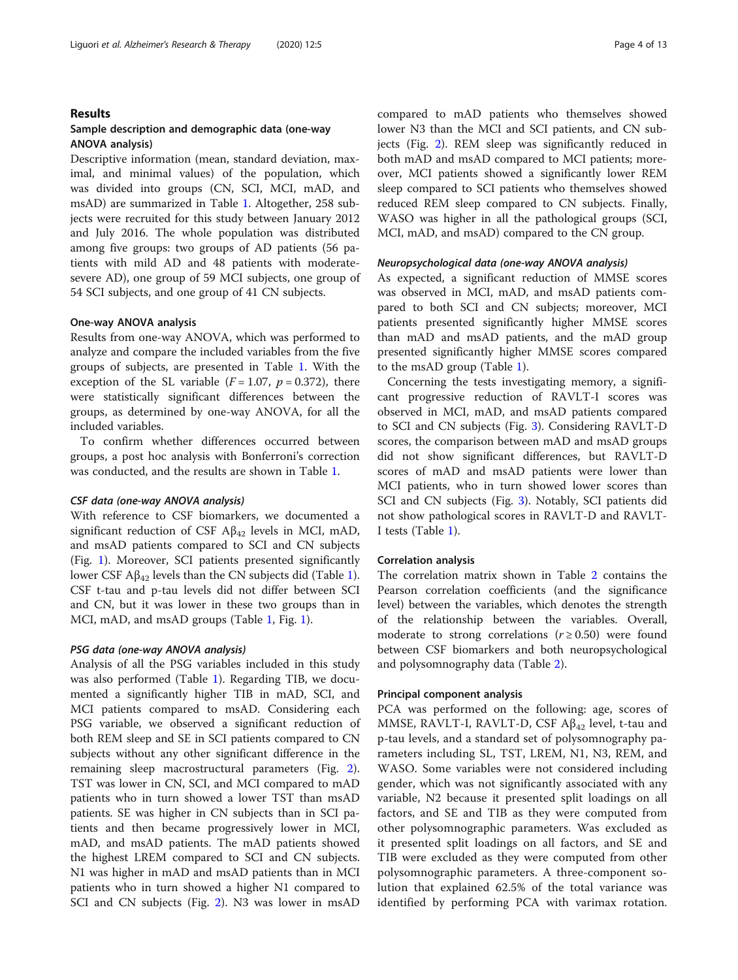#### Results

#### Sample description and demographic data (one-way ANOVA analysis)

Descriptive information (mean, standard deviation, maximal, and minimal values) of the population, which was divided into groups (CN, SCI, MCI, mAD, and msAD) are summarized in Table [1.](#page-4-0) Altogether, 258 subjects were recruited for this study between January 2012 and July 2016. The whole population was distributed among five groups: two groups of AD patients (56 patients with mild AD and 48 patients with moderatesevere AD), one group of 59 MCI subjects, one group of 54 SCI subjects, and one group of 41 CN subjects.

#### One-way ANOVA analysis

Results from one-way ANOVA, which was performed to analyze and compare the included variables from the five groups of subjects, are presented in Table [1.](#page-4-0) With the exception of the SL variable  $(F = 1.07, p = 0.372)$ , there were statistically significant differences between the groups, as determined by one-way ANOVA, for all the included variables.

To confirm whether differences occurred between groups, a post hoc analysis with Bonferroni's correction was conducted, and the results are shown in Table [1](#page-4-0).

#### CSF data (one-way ANOVA analysis)

With reference to CSF biomarkers, we documented a significant reduction of CSF  $A\beta_{42}$  levels in MCI, mAD, and msAD patients compared to SCI and CN subjects (Fig. [1](#page-6-0)). Moreover, SCI patients presented significantly lower CSF Aβ<sub>42</sub> levels than the CN subjects did (Table [1](#page-4-0)). CSF t-tau and p-tau levels did not differ between SCI and CN, but it was lower in these two groups than in MCI, mAD, and msAD groups (Table [1,](#page-4-0) Fig. [1](#page-6-0)).

#### PSG data (one-way ANOVA analysis)

Analysis of all the PSG variables included in this study was also performed (Table [1](#page-4-0)). Regarding TIB, we documented a significantly higher TIB in mAD, SCI, and MCI patients compared to msAD. Considering each PSG variable, we observed a significant reduction of both REM sleep and SE in SCI patients compared to CN subjects without any other significant difference in the remaining sleep macrostructural parameters (Fig. [2](#page-7-0)). TST was lower in CN, SCI, and MCI compared to mAD patients who in turn showed a lower TST than msAD patients. SE was higher in CN subjects than in SCI patients and then became progressively lower in MCI, mAD, and msAD patients. The mAD patients showed the highest LREM compared to SCI and CN subjects. N1 was higher in mAD and msAD patients than in MCI patients who in turn showed a higher N1 compared to SCI and CN subjects (Fig. [2](#page-7-0)). N3 was lower in msAD

compared to mAD patients who themselves showed lower N3 than the MCI and SCI patients, and CN subjects (Fig. [2](#page-7-0)). REM sleep was significantly reduced in both mAD and msAD compared to MCI patients; moreover, MCI patients showed a significantly lower REM sleep compared to SCI patients who themselves showed reduced REM sleep compared to CN subjects. Finally, WASO was higher in all the pathological groups (SCI, MCI, mAD, and msAD) compared to the CN group.

#### Neuropsychological data (one-way ANOVA analysis)

As expected, a significant reduction of MMSE scores was observed in MCI, mAD, and msAD patients compared to both SCI and CN subjects; moreover, MCI patients presented significantly higher MMSE scores than mAD and msAD patients, and the mAD group presented significantly higher MMSE scores compared to the msAD group (Table [1\)](#page-4-0).

Concerning the tests investigating memory, a significant progressive reduction of RAVLT-I scores was observed in MCI, mAD, and msAD patients compared to SCI and CN subjects (Fig. [3\)](#page-7-0). Considering RAVLT-D scores, the comparison between mAD and msAD groups did not show significant differences, but RAVLT-D scores of mAD and msAD patients were lower than MCI patients, who in turn showed lower scores than SCI and CN subjects (Fig. [3](#page-7-0)). Notably, SCI patients did not show pathological scores in RAVLT-D and RAVLT-I tests (Table [1](#page-4-0)).

#### Correlation analysis

The correlation matrix shown in Table [2](#page-8-0) contains the Pearson correlation coefficients (and the significance level) between the variables, which denotes the strength of the relationship between the variables. Overall, moderate to strong correlations ( $r \ge 0.50$ ) were found between CSF biomarkers and both neuropsychological and polysomnography data (Table [2](#page-8-0)).

#### Principal component analysis

PCA was performed on the following: age, scores of MMSE, RAVLT-I, RAVLT-D, CSF  $A\beta_{42}$  level, t-tau and p-tau levels, and a standard set of polysomnography parameters including SL, TST, LREM, N1, N3, REM, and WASO. Some variables were not considered including gender, which was not significantly associated with any variable, N2 because it presented split loadings on all factors, and SE and TIB as they were computed from other polysomnographic parameters. Was excluded as it presented split loadings on all factors, and SE and TIB were excluded as they were computed from other polysomnographic parameters. A three-component solution that explained 62.5% of the total variance was identified by performing PCA with varimax rotation.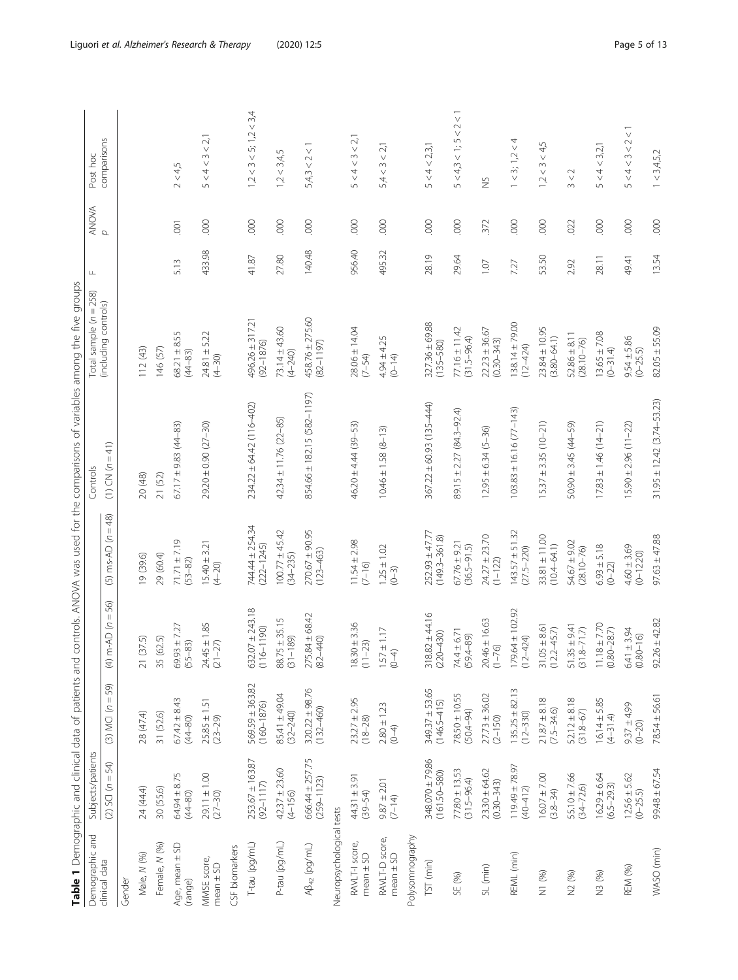<span id="page-4-0"></span>

| Demographic and                 | Subjects/patients                                             |                                                                      |                                                              |                                                   | Table 1 Demographic and clinical data of patients and controls. ANOVA was used for the comparisons of variables among the five groups<br>Controls | Total sample $(n = 258)$             | Щ      |                | Post hoc                     |
|---------------------------------|---------------------------------------------------------------|----------------------------------------------------------------------|--------------------------------------------------------------|---------------------------------------------------|---------------------------------------------------------------------------------------------------------------------------------------------------|--------------------------------------|--------|----------------|------------------------------|
| clinical data                   | 54)<br>Ш<br>$\epsilon$<br>SCI<br>$\odot$                      | 59)<br>$\mathbb{H}$<br>$\epsilon$<br><b>NCI</b><br>$\widehat{\odot}$ | 56)<br>$\, \parallel$<br>$m$ -AD $(n)$<br>$\bigoplus$        | $= 48$<br>$\epsilon$<br>$ms-AD$<br>$\overline{6}$ | $CN(n=41)$<br>$\widehat{\equiv}$                                                                                                                  | (including controls)                 |        | ANOVA<br>P     | comparisons                  |
| Gender                          |                                                               |                                                                      |                                                              |                                                   |                                                                                                                                                   |                                      |        |                |                              |
| Male, N (%)                     | 24 (44.4)                                                     | 28 (47.4)                                                            | (37.5)<br>$\gtrsim$                                          | 19 (39.6)                                         | 20 (48)                                                                                                                                           | 112 (43)                             |        |                |                              |
| Female, N (%)                   | 30 (55.6)                                                     | 31 (52.6)                                                            | (62.5)<br>35                                                 | 29 (60.4)                                         | 21 (52)                                                                                                                                           | 146 (57)                             |        |                |                              |
| Age, mean ± SD<br>(range)       | $64.94 \pm 8.75$<br>(44-80)                                   | $67.42 \pm 8.43$<br>(44-80)                                          | $69.93 \pm 7.27$<br>$(55 - 83)$                              | $71.71 + 7.19$<br>$(53 - 82)$                     | $67.17 \pm 9.83$ (44-83)                                                                                                                          | $68.21 \pm 8.55$<br>$(44 - 83)$      | 5.13   | $\overline{0}$ | 2 < 4,5                      |
| MMSE score,<br>$mean \pm SD$    | $29.11 \pm 1.00$<br>(27-30)                                   | $25.85 \pm 1.51$<br>(23-29)                                          | $24.45 \pm 1.85$<br>(21-27)                                  | $15.40 \pm 3.21$<br>$(4 - 20)$                    | 29.20 ± 0.90 (27-30)                                                                                                                              | $24.81 \pm 5.22$<br>$(4 - 30)$       | 433.98 | 000            | 5 < 4 < 3 < 2,1              |
| CSF biomarkers                  |                                                               |                                                                      |                                                              |                                                   |                                                                                                                                                   |                                      |        |                |                              |
| T-tau (pg/mL)                   | 253.67 ± 163.87<br>$(92 - 1117)$                              | 569.59 ± 363.82<br>$(160 - 1876)$                                    | $632.07 \pm 243.18$<br>(116-1190)                            | 744.44 ± 254.34<br>$(222 - 1245)$                 | 234.22 ± 64.42 (116-402)                                                                                                                          | $496.26 \pm 317.21$<br>$(92 - 1876)$ | 41.87  | 600            | $1,2 < 3 < 5$ ; $1,2 < 3,4$  |
| P-tau (pg/mL)                   | $42.37 \pm 23.60$<br>$(4 - 156)$                              | 85.41 ± 49.04<br>$(32 - 240)$                                        | $88.75 \pm 35.15$<br>$1 - 189$<br>$\overline{3}$             | $100.77 \pm 45.42$<br>(34-235)                    | $42.34 \pm 11.76$ (22-85)                                                                                                                         | $73.14 \pm 43.60$<br>$(4 - 240)$     | 27.80  | 000            | 1,2 < 3,4,5                  |
| $AB_{42}$ (pg/mL)               | 666.44 ± 257.75<br>$(259 - 1123)$                             | $320.22 \pm 98.76$<br>$(132 - 460)$                                  | $275.84 \pm 68.42$<br>$(82 - 440)$                           | $270.67 \pm 90.95$<br>$(123 - 463)$               | 854.66 ± 182.15 (582-1197)                                                                                                                        | 458.76 ± 275.60<br>$(82 - 1197)$     | 140.48 | 000            | 5,4,3 < 2 < 1                |
| Neuropsychological tests        |                                                               |                                                                      |                                                              |                                                   |                                                                                                                                                   |                                      |        |                |                              |
| RAVLT-I score,<br>$mean \pm SD$ | $44.31 \pm 3.91$<br>$(39 - 54)$                               | $23.27 \pm 2.95$<br>$(18 - 28)$                                      | $18.30 \pm 3.36$<br>$1 - 23$<br>$\Xi$                        | $11.54 \pm 2.98$<br>$(7 - 16)$                    | 46.20 ± 4.44 (39-53)                                                                                                                              | $28.06 \pm 14.04$<br>$(7 - 54)$      | 956.40 | 000            | 5 < 4 < 3 < 2,1              |
| RAVLT-D score,<br>$mean \pm SD$ | $9.87 \pm 2.01$<br>$(7-14)$                                   | $2.80 \pm 1.23$<br>$(0 - 4)$                                         | $1.57 \pm 1.17$<br>(0-4)                                     | $1.25 \pm 1.02$<br>$(0 - 3)$                      | $10.46 \pm 1.58$ $(8-13)$                                                                                                                         | $4.94 \pm 4.25$<br>(0-14)            | 495.32 | 000            | 5,4 < 3 < 2,1                |
| Polysomnography                 |                                                               |                                                                      |                                                              |                                                   |                                                                                                                                                   |                                      |        |                |                              |
| TST <sub>(min)</sub>            | 348.070 ± 79.86<br>$(161.50 - 580)$                           | $349.37 \pm 53.65$<br>$(146.5 - 415)$                                | $318.82 \pm 44.16$<br>$(220 - 430)$                          | $252.93 \pm 47.7$<br>$(149.3 - 361.8)$            | $367.22 \pm 60.93$ (135-444)                                                                                                                      | $327.36 \pm 69.88$<br>$(135 - 580)$  | 28.19  | 000            | 5 < 4 < 2,3,1                |
| SE (%)                          | $77.80 \pm 13.53$<br>$(31.5 - 96.4)$                          | $78.50 \pm 10.55$<br>$(50.4 - 94)$                                   | $74.4 \pm 6.71$<br>$(59.4 - 89)$                             | $67.76 \pm 9.21$<br>$(36.5 - 91.5)$               | 89.15 ± 2.27 (84.3-92.4)                                                                                                                          | $77.16 \pm 11.42$<br>$(31.5 - 96.4)$ | 29.64  | 000            | $5 < 4, 3 < 1$ ; $5 < 2 < 1$ |
| SL (min)                        | $23.30 + 64.62$<br>$(0.30 - 343)$                             | $27.73 \pm 36.02$<br>(2-150)                                         | $20.46 \pm 16.63$<br>$(1 - 76)$                              | $24.27 \pm 23.70$<br>$(1 - 122)$                  | $12.95 \pm 6.34$ (5-36)                                                                                                                           | $22.23 \pm 36.67$<br>$(0.30 - 343)$  | 1.07   | 372            | $\geq$                       |
| REML (min)                      | $\begin{array}{c} 119.49 \pm 78.97 \\ (40 - 412) \end{array}$ | $135.25 \pm 82.13$<br>$(12 - 330)$                                   | $179.64 \pm 102.92$<br>$(12 - 424)$                          | $143.57 \pm 51.32$<br>$(27.5 - 220)$              | $103.83 \pm 16.16$ (77-143)                                                                                                                       | $138.14 \pm 79.00$<br>$(12 - 424)$   | 7.27   | 000            | $1 < 3$ ; $1,2 < 4$          |
| N1 (%)                          | $16.07 \pm 7.00$<br>(3.8–34)                                  | $21.87 \pm 8.18$<br>$(7.5 - 34.6)$                                   | $31.05 \pm 8.61$<br>(12.2–45.7)                              | $33.81 \pm 11.00$<br>$(10.4 - 64.1)$              | $15.37 \pm 3.35$ (10-21)                                                                                                                          | $23.84 \pm 10.95$<br>$(3.80 - 64.1)$ | 53.50  | 000            | 1,2 < 3 < 4,5                |
| N2 (%)                          | $55.10 \pm 7.66$<br>$(34 - 72.6)$                             | $52.12 \pm 8.18$<br>$(31.8 - 67)$                                    | $51.35 \pm 9.41$<br>(31.8-71.7)                              | 54.67 ± 9.02<br>$(28.10 - 76)$                    | $50.90 \pm 3.45$ (44-59)                                                                                                                          | $52.86 \pm 8.11$<br>$(28.10 - 76)$   | 2.92   | .022           | 3 < 2                        |
| N3 (%)                          | $16.29 \pm 6.64$<br>$(6.5 - 29.3)$                            | $16.14 \pm 5.85$<br>$(4-31.4)$                                       | $\begin{array}{c} 11.18 \pm 7.70 \\ (0.80-28.7) \end{array}$ | $6.93 \pm 5.18$<br>$(0 - 22)$                     | $17.83 \pm 1.46$ (14-21)                                                                                                                          | $13.65 \pm 7.08$<br>$(0-31.4)$       | 28.11  | 000            | 5 < 4 < 3,2,1                |
| REM (%)                         | $12.56 \pm 5.62$<br>$(D-25.5)$                                | $9.37 \pm 4.99$<br>$(0 - 20)$                                        | $6.41 \pm 3.94$<br>$(0.80 - 16)$                             | $4.60 \pm 3.69$<br>$(0 - 12.20)$                  | $15.90 \pm 2.96 (11 - 22)$                                                                                                                        | $9.54 \pm 5.86$<br>(0-25.5)          | 49.41  | 000            | 5 < 4 < 3 < 2 < 1            |
| WASO (min)                      | $99.48 \pm 67.54$                                             | $78.54 \pm 56.61$                                                    | $92.26 \pm 42.82$                                            | $97.63 + 47.88$                                   | $31.95 \pm 12.42$ (3.74-53.23)                                                                                                                    | $82.05 \pm 55.09$                    | 13.54  | 000            | 1 < 3,4,5,2                  |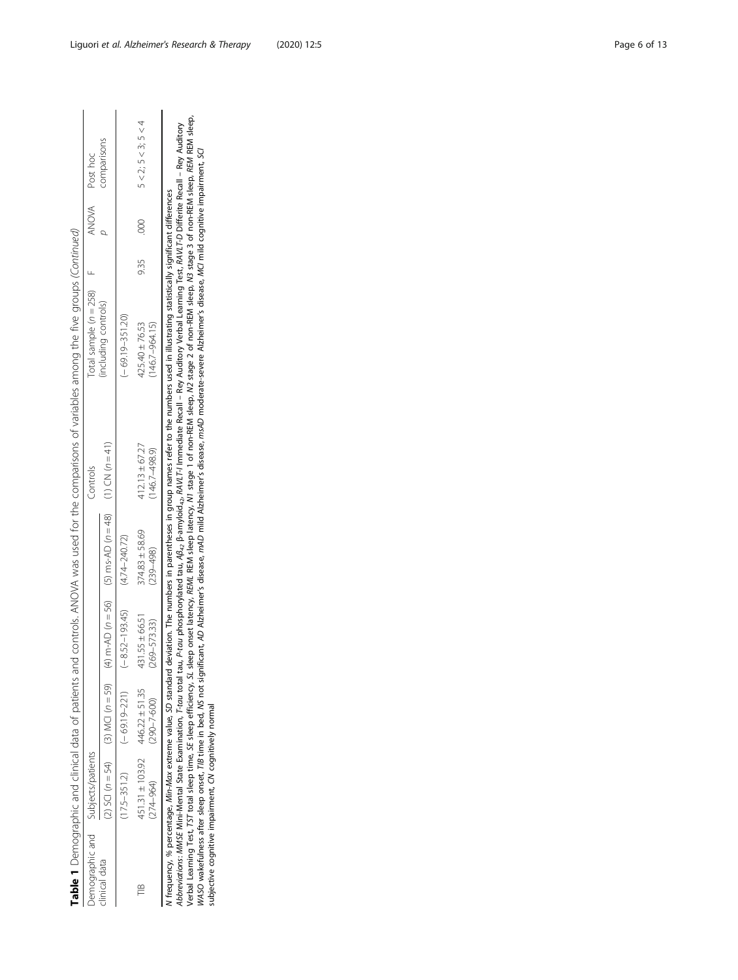Table 1 Demographic and clinical data of patients and controls. ANOVA was used for the comparisons of variables among the five groups (Continued) Table 1 Demographic and clinical data of patients and controls. ANOVA was used for the comparisons of variables among the five groups (Continued)

| bemographic and | subjects/patients |                      |                    |                                                                 | <b>Controls</b>   | otal sample $(n = 258)$ |      |     | ANOVA Post hoc              |
|-----------------|-------------------|----------------------|--------------------|-----------------------------------------------------------------|-------------------|-------------------------|------|-----|-----------------------------|
| inical data     | 2) SCI $(n = 54)$ | $(3)$ MCI $(n = 59)$ |                    | $m$ -AD ( $n$ = 56) (5) $ms$ -AD ( $n$ = 48) (1) CN ( $n$ = 41) |                   | ncluding controls)      |      |     | comparisons                 |
|                 | $17.5 - 351.2$    | $(-69.19 - 221)$     | $(-8.52 - 193.45)$ | $(4.74 - 240.72)$                                               |                   | $-69.19 - 351.20$       |      |     |                             |
| FΒ              | H51.31 ± 103.92   | $446.22 \pm 51.35$   | $31.55 \pm 66.5$   | $374.83 \pm 58.69$                                              | $12.13 \pm 67.27$ | $25.40 \pm 76.53$       | 9.35 | 000 | $5 < 2$ ; $5 < 3$ ; $5 < 4$ |
|                 | 74-964)           | $290 - 7 - 600$      | $(269 - 573.33)$   | 239-498)                                                        | 146.7-498.9)      | 146.7-964.15)           |      |     |                             |

Abbreviations: MMSE Mini-Mental State Examination, T-tau total tau, P-tau phosphorylated tau, ብይ<sub>ፈን</sub> β-amyloid<sub>as</sub>, RAVI.T-I Inmediate Recall – Rey Auditory Verbal Learning Test, RAVI.T-D Differite Recall – Rey Auditory<br> Verbal Learning Test, TST total sleep time, SE sleep efficiency, SL sleep onset latency, REML REM sleep latency, N1 stage 1 of non-REM sleep, N2 stage 2 of non-REM sleep, N3 stage 3 of non-REM sleep, REM REM sleep, Abbreviations: MMSE Mini-Mental State Examination, T-tau total tau, P-tau phosphorylated tau, Aβ4, β-amyloid42, RAVLT-I mmediate Recall – Rey Auditory Verbal Learning Test, RAVLT-D Differite Recall – Rey Auditory WASO wakefulness after sleep onset, TIB time in bed, NS not significant, AD Alzheimer's disease, mAD mild Alzheimer's disease, msAD moderate-severe Alzheimer's disease, MCI mild cognitive impairment, SCI N frequency, % percentage, Min-Max extreme value, SD standard deviation. The numbers in parentheses in group names refer to the numbers used in illustrating statistically significant differences frequency, % percentage, Min-Max extreme value, SD standard deviation. The numbers in parentheses in group names refer to the numbers used in illustrating statistically significant differences subjective cognitive impairment, CN cognitively normal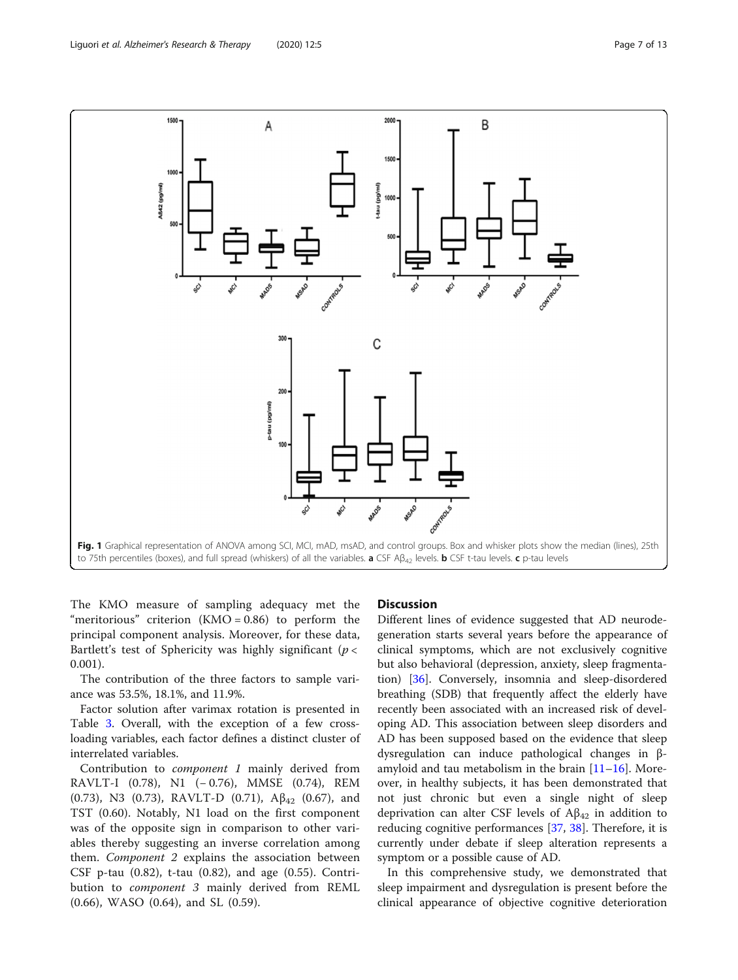<span id="page-6-0"></span>

The KMO measure of sampling adequacy met the "meritorious" criterion  $(KMO = 0.86)$  to perform the principal component analysis. Moreover, for these data, Bartlett's test of Sphericity was highly significant ( $p <$ 0.001).

The contribution of the three factors to sample variance was 53.5%, 18.1%, and 11.9%.

Factor solution after varimax rotation is presented in Table [3](#page-9-0). Overall, with the exception of a few crossloading variables, each factor defines a distinct cluster of interrelated variables.

Contribution to component 1 mainly derived from RAVLT-I (0.78), N1 (− 0.76), MMSE (0.74), REM (0.73), N3 (0.73), RAVLT-D (0.71),  $\mathbb{A}\beta_{42}$  (0.67), and TST (0.60). Notably, N1 load on the first component was of the opposite sign in comparison to other variables thereby suggesting an inverse correlation among them. Component 2 explains the association between CSF p-tau (0.82), t-tau (0.82), and age (0.55). Contribution to component 3 mainly derived from REML (0.66), WASO (0.64), and SL (0.59).

#### **Discussion**

Different lines of evidence suggested that AD neurodegeneration starts several years before the appearance of clinical symptoms, which are not exclusively cognitive but also behavioral (depression, anxiety, sleep fragmentation) [\[36](#page-12-0)]. Conversely, insomnia and sleep-disordered breathing (SDB) that frequently affect the elderly have recently been associated with an increased risk of developing AD. This association between sleep disorders and AD has been supposed based on the evidence that sleep dysregulation can induce pathological changes in βamyloid and tau metabolism in the brain  $[11–16]$  $[11–16]$  $[11–16]$  $[11–16]$  $[11–16]$ . Moreover, in healthy subjects, it has been demonstrated that not just chronic but even a single night of sleep deprivation can alter CSF levels of  $A\beta_{42}$  in addition to reducing cognitive performances [[37,](#page-12-0) [38\]](#page-12-0). Therefore, it is currently under debate if sleep alteration represents a symptom or a possible cause of AD.

In this comprehensive study, we demonstrated that sleep impairment and dysregulation is present before the clinical appearance of objective cognitive deterioration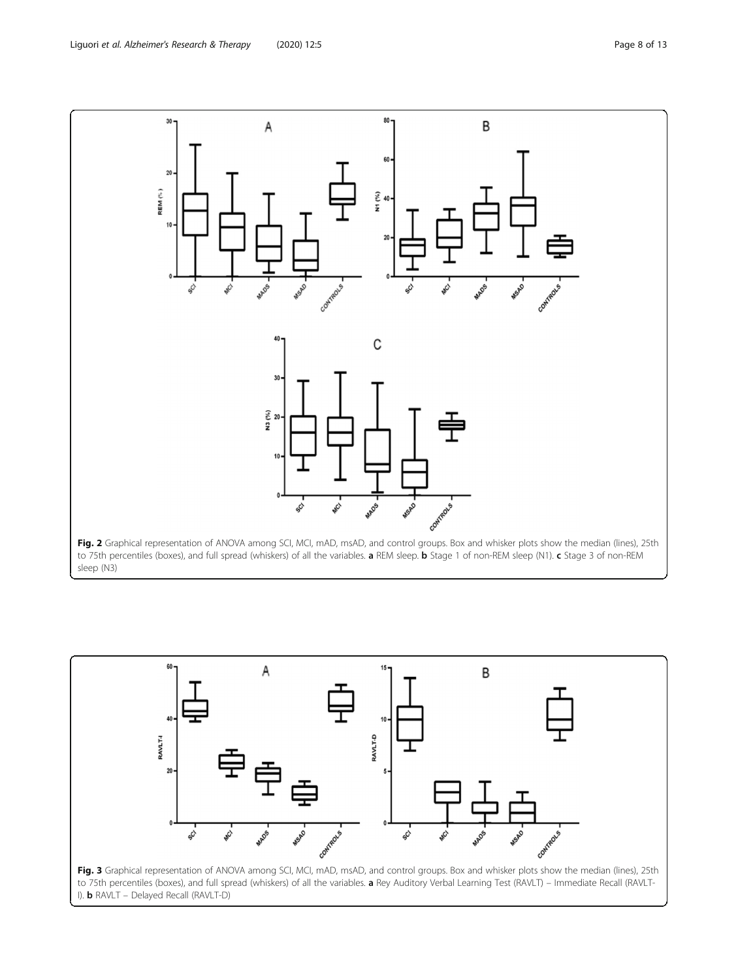<span id="page-7-0"></span>

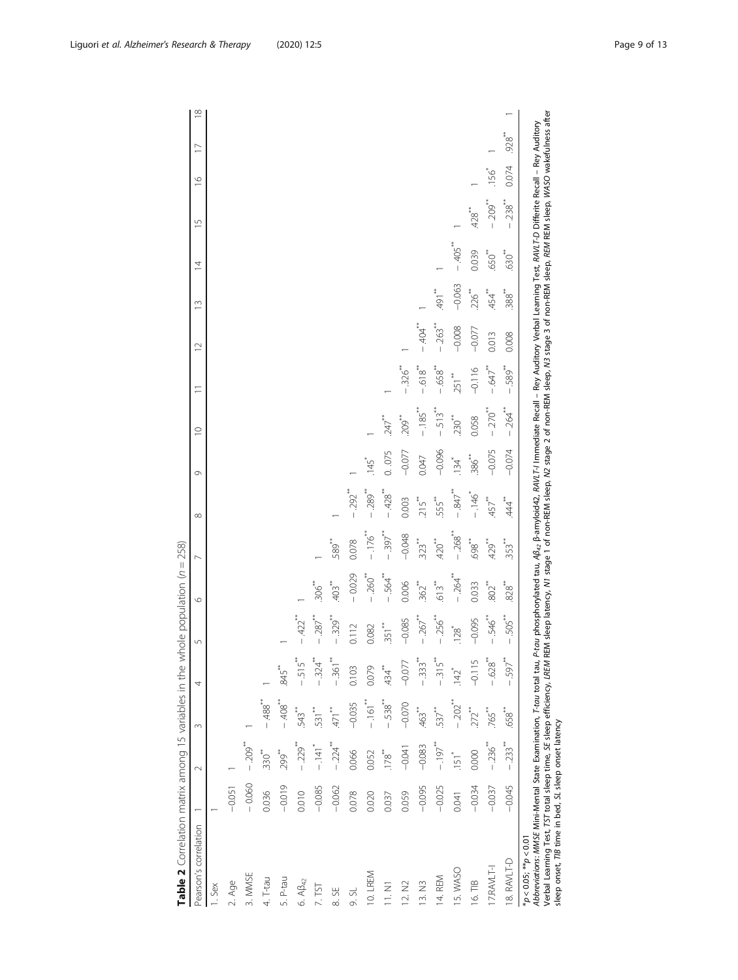<span id="page-8-0"></span>

| Pearson's correlation                                                                                                                                                                                                                                                                                                                                                                                                                                                                                     |          | $\sim$               | $\infty$             | 4                    | 5                       | $\circ$           | ∼                    | $^{\circ}$                 | G        | $\subseteq$          | Ξ                       | $\supseteq$           | $\tilde{=}$ | $\overline{4}$      | $\overline{5}$       | $\approx$ | $\infty$<br>$\overline{1}$ |
|-----------------------------------------------------------------------------------------------------------------------------------------------------------------------------------------------------------------------------------------------------------------------------------------------------------------------------------------------------------------------------------------------------------------------------------------------------------------------------------------------------------|----------|----------------------|----------------------|----------------------|-------------------------|-------------------|----------------------|----------------------------|----------|----------------------|-------------------------|-----------------------|-------------|---------------------|----------------------|-----------|----------------------------|
| . Sex                                                                                                                                                                                                                                                                                                                                                                                                                                                                                                     |          |                      |                      |                      |                         |                   |                      |                            |          |                      |                         |                       |             |                     |                      |           |                            |
| 2. Age                                                                                                                                                                                                                                                                                                                                                                                                                                                                                                    | $-0.051$ |                      |                      |                      |                         |                   |                      |                            |          |                      |                         |                       |             |                     |                      |           |                            |
| 3. MMSE                                                                                                                                                                                                                                                                                                                                                                                                                                                                                                   | $-0.060$ | $-209$ <sup>**</sup> |                      |                      |                         |                   |                      |                            |          |                      |                         |                       |             |                     |                      |           |                            |
| 4. T-tau                                                                                                                                                                                                                                                                                                                                                                                                                                                                                                  | 0.036    | $330$ <sup>**</sup>  | $-488$ <sup>*</sup>  |                      |                         |                   |                      |                            |          |                      |                         |                       |             |                     |                      |           |                            |
| 5. P-tau                                                                                                                                                                                                                                                                                                                                                                                                                                                                                                  | $-0.019$ | <b>299*</b>          | $-408$ <sup>**</sup> | $.845$ <sup>**</sup> |                         |                   |                      |                            |          |                      |                         |                       |             |                     |                      |           |                            |
| 6. A $\beta_{42}$                                                                                                                                                                                                                                                                                                                                                                                                                                                                                         | 0.010    | $-229$ <sup>**</sup> | 543**                | $-515$               | $-422$ <sup>***</sup>   |                   |                      |                            |          |                      |                         |                       |             |                     |                      |           |                            |
| 7.75                                                                                                                                                                                                                                                                                                                                                                                                                                                                                                      | $-0.085$ | $-141$ <sup>*</sup>  | 531                  | 324                  | $-287$ <sup>**</sup>    | $\frac{306}{3}$   |                      |                            |          |                      |                         |                       |             |                     |                      |           |                            |
| 55<br>$\infty$                                                                                                                                                                                                                                                                                                                                                                                                                                                                                            | $-0.062$ | $-224$               | $471$ <sup>**</sup>  | $-361$               | $-329$ <sup>**</sup>    | 403               | 589*                 |                            |          |                      |                         |                       |             |                     |                      |           |                            |
| 9. SL                                                                                                                                                                                                                                                                                                                                                                                                                                                                                                     | 0.078    | 0.066                | $-0.035$             | 0.103                | 0.112                   | $-0.029$          | 0.078                | $-292$ <sup>**</sup>       |          |                      |                         |                       |             |                     |                      |           |                            |
| 10. LREM                                                                                                                                                                                                                                                                                                                                                                                                                                                                                                  | 0.020    | 0.052                | $-161$               | 0.079                | 0.082                   | $-260^{**}$       | $-176$ **            | $.289$ <sup>**</sup><br>Ï  | 145      |                      |                         |                       |             |                     |                      |           |                            |
| 11. N1                                                                                                                                                                                                                                                                                                                                                                                                                                                                                                    | 0.037    | 178                  | $-538$               | .434                 | $351$ <sup>**</sup>     | $-564$            | $-397$               | $-428$                     | 0.075    | $247$ <sup>**</sup>  |                         |                       |             |                     |                      |           |                            |
| 12. N2                                                                                                                                                                                                                                                                                                                                                                                                                                                                                                    | 0.059    | $-0.041$             | $-0.070$             | $-0.077$             | $-0.085$                | 0.006             | $-0.048$             | 0.003                      | $-0.077$ | <sup>**</sup><br>209 | $-326$ <sup>**</sup>    |                       |             |                     |                      |           |                            |
| 13. N3                                                                                                                                                                                                                                                                                                                                                                                                                                                                                                    | $-0.095$ | $-0.083$             | 463**                | $-0.333$             | $-267$                  | $362^{**}$        | $323$ <sup>**</sup>  | 215                        | 0.047    | $-185$ <sup>**</sup> | $-618$                  | $-404$                |             |                     |                      |           |                            |
| 14. REM                                                                                                                                                                                                                                                                                                                                                                                                                                                                                                   | $-0.025$ | $-197$               | $537$ <sup>**</sup>  | $-315$ <sup>**</sup> | $-256$                  | 613 <sup>**</sup> | 420                  | 555**                      | $-0.096$ | 513**                | $-658$                  | $.263$ <sup>***</sup> | 491         |                     |                      |           |                            |
| 5. WASO                                                                                                                                                                                                                                                                                                                                                                                                                                                                                                   | 0.041    | 151                  | $-0.202$             | 142                  | 128                     | $-264$            | $-268$ <sup>**</sup> | $-847$ <sup>**</sup>       | 134      | $230$ <sup>**</sup>  | $251$ <sup>**</sup>     | $-0.008$              | $-0.063$    | $-405$              |                      |           |                            |
| 16. TIB                                                                                                                                                                                                                                                                                                                                                                                                                                                                                                   | $-0.034$ | 0.000                | 272**                | $-0.115$             | $-0.095$                | 0.033             | **<br>698            | $-146$                     | $-386$   | 0.058                | $-0.116$                | $-0.077$              | ~~~~        | 0.039               | 428                  |           |                            |
| 17.RAVLT-I                                                                                                                                                                                                                                                                                                                                                                                                                                                                                                | $-0.037$ | $-236$               | $.765$ **            | $-628$               | $-546$                  | 802               | 429*                 | 457                        | $-0.075$ | $-270^{**}$          | $-647$                  | 0.013                 | 454**       | $650$ <sup>**</sup> | $-209$               | 9SL.      |                            |
| 8. RAVLT-D                                                                                                                                                                                                                                                                                                                                                                                                                                                                                                | $-0.045$ | $-233$ <sup>**</sup> | <sup>**</sup><br>558 | 597**                | 505**<br>$\overline{1}$ | $828^{*}$         | $353$ <sup>**</sup>  | $\stackrel{*}{\downarrow}$ | $-0.074$ | $-264$               | 589**<br>$\overline{1}$ | 0.008                 | $388^{**}$  | $630$ <sup>**</sup> | $-238$ <sup>**</sup> | 0.074     | $928$ <sup>**</sup>        |
| Verbal Learning Test, TST total sleep time, SE sleep efficiency, LREM REM sleep latency, MJ stage 2 of non-REM sleep, M3 stage 3 of non-REM sleep, REM sleep, WASO wakefulness after<br>Abbreviations: MMSE Mini-Mental State Examination, T-tou total tau, P-tou phosphorylated tau, A0 <sub>42,</sub> B-amyloid42, ANVLT-I mmediate Recall – Rey Auditory Verbal Learning Test, AAVLT-D Differite Recall – Rey Auditory<br>sleep onset, TIB time in bed, SL sleep onset latency<br>$*<0.05; **p < 0.01$ |          |                      |                      |                      |                         |                   |                      |                            |          |                      |                         |                       |             |                     |                      |           |                            |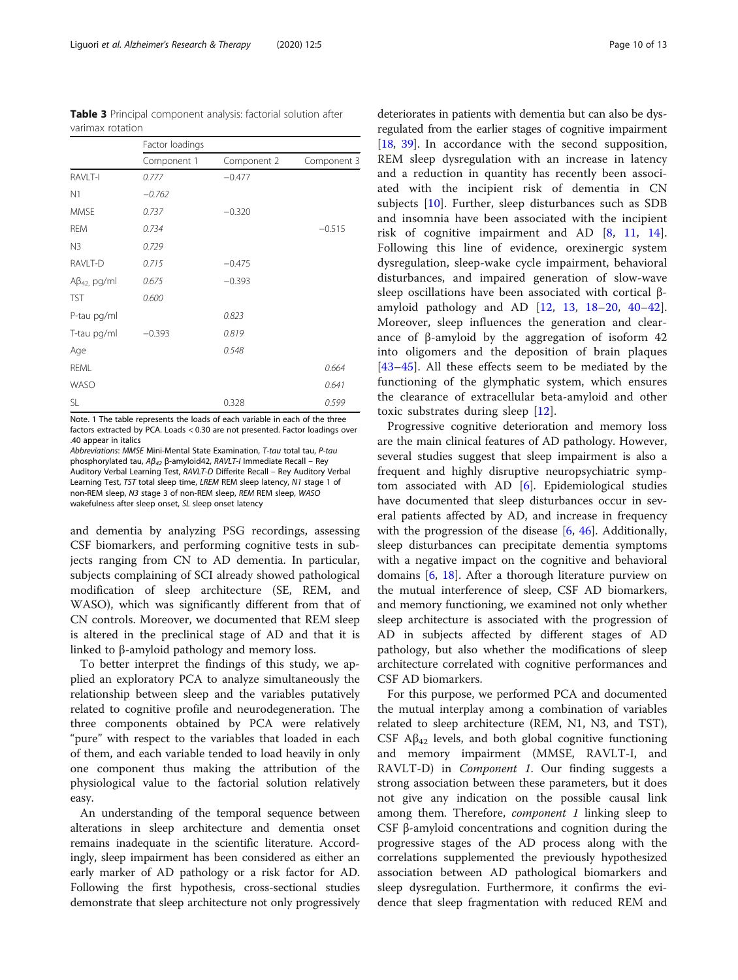<span id="page-9-0"></span>Table 3 Principal component analysis: factorial solution after varimax rotation

|                       | Factor loadings |             |             |
|-----------------------|-----------------|-------------|-------------|
|                       | Component 1     | Component 2 | Component 3 |
| RAVLT-I               | 0.777           | $-0.477$    |             |
| N1                    | $-0.762$        |             |             |
| <b>MMSE</b>           | 0.737           | $-0.320$    |             |
| <b>REM</b>            | 0.734           |             | $-0.515$    |
| N <sub>3</sub>        | 0.729           |             |             |
| RAVLT-D               | 0.715           | $-0.475$    |             |
| $A\beta_{42}$ , pg/ml | 0.675           | $-0.393$    |             |
| <b>TST</b>            | 0.600           |             |             |
| P-tau pg/ml           |                 | 0.823       |             |
| T-tau pg/ml           | $-0.393$        | 0.819       |             |
| Age                   |                 | 0.548       |             |
| REML                  |                 |             | 0.664       |
| <b>WASO</b>           |                 |             | 0.641       |
| SL                    |                 | 0.328       | 0.599       |

Note. 1 The table represents the loads of each variable in each of the three factors extracted by PCA. Loads < 0.30 are not presented. Factor loadings over .40 appear in italics

Abbreviations: MMSE Mini-Mental State Examination, T-tau total tau, P-tau phosphorylated tau, Aβ<sup>42</sup> β-amyloid42, RAVLT-I Immediate Recall – Rey Auditory Verbal Learning Test, RAVLT-D Differite Recall – Rey Auditory Verbal Learning Test, TST total sleep time, LREM REM sleep latency, N1 stage 1 of non-REM sleep, N3 stage 3 of non-REM sleep, REM REM sleep, WASO wakefulness after sleep onset, SL sleep onset latency

and dementia by analyzing PSG recordings, assessing CSF biomarkers, and performing cognitive tests in subjects ranging from CN to AD dementia. In particular, subjects complaining of SCI already showed pathological modification of sleep architecture (SE, REM, and WASO), which was significantly different from that of CN controls. Moreover, we documented that REM sleep is altered in the preclinical stage of AD and that it is linked to β-amyloid pathology and memory loss.

To better interpret the findings of this study, we applied an exploratory PCA to analyze simultaneously the relationship between sleep and the variables putatively related to cognitive profile and neurodegeneration. The three components obtained by PCA were relatively "pure" with respect to the variables that loaded in each of them, and each variable tended to load heavily in only one component thus making the attribution of the physiological value to the factorial solution relatively easy.

An understanding of the temporal sequence between alterations in sleep architecture and dementia onset remains inadequate in the scientific literature. Accordingly, sleep impairment has been considered as either an early marker of AD pathology or a risk factor for AD. Following the first hypothesis, cross-sectional studies demonstrate that sleep architecture not only progressively

deteriorates in patients with dementia but can also be dysregulated from the earlier stages of cognitive impairment [[18](#page-11-0), [39\]](#page-12-0). In accordance with the second supposition, REM sleep dysregulation with an increase in latency and a reduction in quantity has recently been associated with the incipient risk of dementia in CN subjects [\[10](#page-11-0)]. Further, sleep disturbances such as SDB and insomnia have been associated with the incipient risk of cognitive impairment and AD [[8,](#page-11-0) [11,](#page-11-0) [14](#page-11-0)]. Following this line of evidence, orexinergic system dysregulation, sleep-wake cycle impairment, behavioral disturbances, and impaired generation of slow-wave sleep oscillations have been associated with cortical βamyloid pathology and AD [[12](#page-11-0), [13](#page-11-0), [18](#page-11-0)–[20,](#page-11-0) [40](#page-12-0)–[42](#page-12-0)]. Moreover, sleep influences the generation and clearance of β-amyloid by the aggregation of isoform 42 into oligomers and the deposition of brain plaques [[43](#page-12-0)–[45\]](#page-12-0). All these effects seem to be mediated by the functioning of the glymphatic system, which ensures the clearance of extracellular beta-amyloid and other toxic substrates during sleep [[12\]](#page-11-0).

Progressive cognitive deterioration and memory loss are the main clinical features of AD pathology. However, several studies suggest that sleep impairment is also a frequent and highly disruptive neuropsychiatric symptom associated with AD [[6](#page-11-0)]. Epidemiological studies have documented that sleep disturbances occur in several patients affected by AD, and increase in frequency with the progression of the disease [[6,](#page-11-0) [46](#page-12-0)]. Additionally, sleep disturbances can precipitate dementia symptoms with a negative impact on the cognitive and behavioral domains [\[6](#page-11-0), [18\]](#page-11-0). After a thorough literature purview on the mutual interference of sleep, CSF AD biomarkers, and memory functioning, we examined not only whether sleep architecture is associated with the progression of AD in subjects affected by different stages of AD pathology, but also whether the modifications of sleep architecture correlated with cognitive performances and CSF AD biomarkers.

For this purpose, we performed PCA and documented the mutual interplay among a combination of variables related to sleep architecture (REM, N1, N3, and TST), CSF  $\mathbf{A}\beta_{42}$  levels, and both global cognitive functioning and memory impairment (MMSE, RAVLT-I, and RAVLT-D) in Component 1. Our finding suggests a strong association between these parameters, but it does not give any indication on the possible causal link among them. Therefore, *component 1* linking sleep to CSF β-amyloid concentrations and cognition during the progressive stages of the AD process along with the correlations supplemented the previously hypothesized association between AD pathological biomarkers and sleep dysregulation. Furthermore, it confirms the evidence that sleep fragmentation with reduced REM and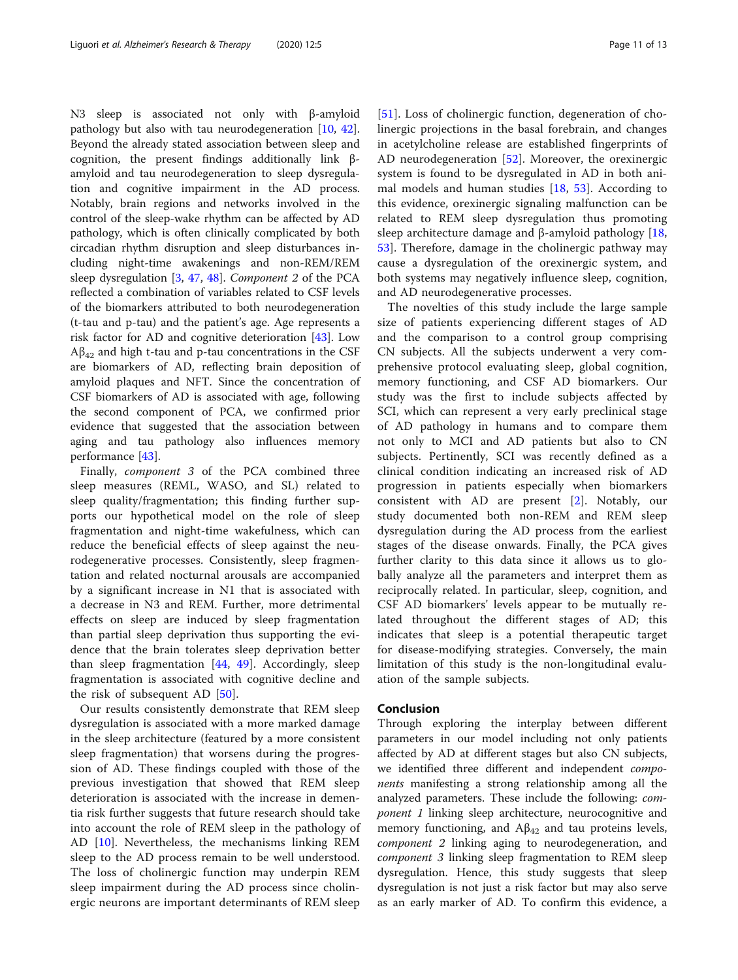N3 sleep is associated not only with β-amyloid pathology but also with tau neurodegeneration [[10](#page-11-0), [42](#page-12-0)]. Beyond the already stated association between sleep and cognition, the present findings additionally link βamyloid and tau neurodegeneration to sleep dysregulation and cognitive impairment in the AD process. Notably, brain regions and networks involved in the control of the sleep-wake rhythm can be affected by AD pathology, which is often clinically complicated by both circadian rhythm disruption and sleep disturbances including night-time awakenings and non-REM/REM sleep dysregulation [[3](#page-11-0), [47,](#page-12-0) [48\]](#page-12-0). Component 2 of the PCA reflected a combination of variables related to CSF levels of the biomarkers attributed to both neurodegeneration (t-tau and p-tau) and the patient's age. Age represents a risk factor for AD and cognitive deterioration [\[43](#page-12-0)]. Low  $A\beta_{42}$  and high t-tau and p-tau concentrations in the CSF are biomarkers of AD, reflecting brain deposition of amyloid plaques and NFT. Since the concentration of CSF biomarkers of AD is associated with age, following the second component of PCA, we confirmed prior evidence that suggested that the association between aging and tau pathology also influences memory performance [[43](#page-12-0)].

Finally, component 3 of the PCA combined three sleep measures (REML, WASO, and SL) related to sleep quality/fragmentation; this finding further supports our hypothetical model on the role of sleep fragmentation and night-time wakefulness, which can reduce the beneficial effects of sleep against the neurodegenerative processes. Consistently, sleep fragmentation and related nocturnal arousals are accompanied by a significant increase in N1 that is associated with a decrease in N3 and REM. Further, more detrimental effects on sleep are induced by sleep fragmentation than partial sleep deprivation thus supporting the evidence that the brain tolerates sleep deprivation better than sleep fragmentation [[44,](#page-12-0) [49](#page-12-0)]. Accordingly, sleep fragmentation is associated with cognitive decline and the risk of subsequent AD [\[50](#page-12-0)].

Our results consistently demonstrate that REM sleep dysregulation is associated with a more marked damage in the sleep architecture (featured by a more consistent sleep fragmentation) that worsens during the progression of AD. These findings coupled with those of the previous investigation that showed that REM sleep deterioration is associated with the increase in dementia risk further suggests that future research should take into account the role of REM sleep in the pathology of AD [\[10\]](#page-11-0). Nevertheless, the mechanisms linking REM sleep to the AD process remain to be well understood. The loss of cholinergic function may underpin REM sleep impairment during the AD process since cholinergic neurons are important determinants of REM sleep

[[51\]](#page-12-0). Loss of cholinergic function, degeneration of cholinergic projections in the basal forebrain, and changes in acetylcholine release are established fingerprints of AD neurodegeneration  $[52]$  $[52]$ . Moreover, the orexinergic system is found to be dysregulated in AD in both animal models and human studies  $[18, 53]$  $[18, 53]$  $[18, 53]$  $[18, 53]$  $[18, 53]$ . According to this evidence, orexinergic signaling malfunction can be related to REM sleep dysregulation thus promoting sleep architecture damage and  $\beta$ -amyloid pathology [\[18](#page-11-0), [53\]](#page-12-0). Therefore, damage in the cholinergic pathway may cause a dysregulation of the orexinergic system, and both systems may negatively influence sleep, cognition, and AD neurodegenerative processes.

The novelties of this study include the large sample size of patients experiencing different stages of AD and the comparison to a control group comprising CN subjects. All the subjects underwent a very comprehensive protocol evaluating sleep, global cognition, memory functioning, and CSF AD biomarkers. Our study was the first to include subjects affected by SCI, which can represent a very early preclinical stage of AD pathology in humans and to compare them not only to MCI and AD patients but also to CN subjects. Pertinently, SCI was recently defined as a clinical condition indicating an increased risk of AD progression in patients especially when biomarkers consistent with AD are present [[2\]](#page-11-0). Notably, our study documented both non-REM and REM sleep dysregulation during the AD process from the earliest stages of the disease onwards. Finally, the PCA gives further clarity to this data since it allows us to globally analyze all the parameters and interpret them as reciprocally related. In particular, sleep, cognition, and CSF AD biomarkers' levels appear to be mutually related throughout the different stages of AD; this indicates that sleep is a potential therapeutic target for disease-modifying strategies. Conversely, the main limitation of this study is the non-longitudinal evaluation of the sample subjects.

#### Conclusion

Through exploring the interplay between different parameters in our model including not only patients affected by AD at different stages but also CN subjects, we identified three different and independent *compo*nents manifesting a strong relationship among all the analyzed parameters. These include the following: component 1 linking sleep architecture, neurocognitive and memory functioning, and  $A\beta_{42}$  and tau proteins levels, component 2 linking aging to neurodegeneration, and component 3 linking sleep fragmentation to REM sleep dysregulation. Hence, this study suggests that sleep dysregulation is not just a risk factor but may also serve as an early marker of AD. To confirm this evidence, a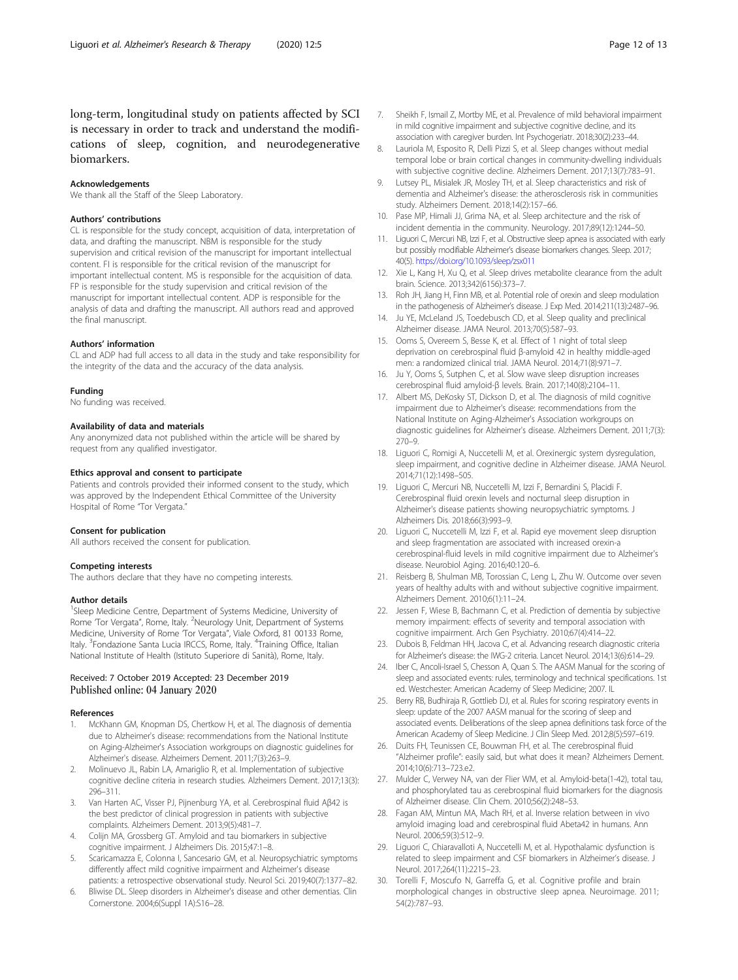<span id="page-11-0"></span>long-term, longitudinal study on patients affected by SCI is necessary in order to track and understand the modifications of sleep, cognition, and neurodegenerative biomarkers.

#### Acknowledgements

We thank all the Staff of the Sleep Laboratory.

#### Authors' contributions

CL is responsible for the study concept, acquisition of data, interpretation of data, and drafting the manuscript. NBM is responsible for the study supervision and critical revision of the manuscript for important intellectual content. FI is responsible for the critical revision of the manuscript for important intellectual content. MS is responsible for the acquisition of data. FP is responsible for the study supervision and critical revision of the manuscript for important intellectual content. ADP is responsible for the analysis of data and drafting the manuscript. All authors read and approved the final manuscript.

#### Authors' information

CL and ADP had full access to all data in the study and take responsibility for the integrity of the data and the accuracy of the data analysis.

#### Funding

No funding was received.

#### Availability of data and materials

Any anonymized data not published within the article will be shared by request from any qualified investigator.

#### Ethics approval and consent to participate

Patients and controls provided their informed consent to the study, which was approved by the Independent Ethical Committee of the University Hospital of Rome "Tor Vergata."

#### Consent for publication

All authors received the consent for publication.

#### Competing interests

The authors declare that they have no competing interests.

#### Author details

<sup>1</sup>Sleep Medicine Centre, Department of Systems Medicine, University of Rome 'Tor Vergata", Rome, Italy. <sup>2</sup>Neurology Unit, Department of Systems Medicine, University of Rome 'Tor Vergata", Viale Oxford, 81 00133 Rome, Italy. <sup>3</sup>Fondazione Santa Lucia IRCCS, Rome, Italy. <sup>4</sup>Training Office, Italian National Institute of Health (Istituto Superiore di Sanità), Rome, Italy.

#### Received: 7 October 2019 Accepted: 23 December 2019 Published online: 04 January 2020

#### References

- McKhann GM, Knopman DS, Chertkow H, et al. The diagnosis of dementia due to Alzheimer's disease: recommendations from the National Institute on Aging-Alzheimer's Association workgroups on diagnostic guidelines for Alzheimer's disease. Alzheimers Dement. 2011;7(3):263–9.
- 2. Molinuevo JL, Rabin LA, Amariglio R, et al. Implementation of subjective cognitive decline criteria in research studies. Alzheimers Dement. 2017;13(3): 296–311.
- 3. Van Harten AC, Visser PJ, Pijnenburg YA, et al. Cerebrospinal fluid Aβ42 is the best predictor of clinical progression in patients with subjective complaints. Alzheimers Dement. 2013;9(5):481–7.
- 4. Colijn MA, Grossberg GT. Amyloid and tau biomarkers in subjective cognitive impairment. J Alzheimers Dis. 2015;47:1–8.
- 5. Scaricamazza E, Colonna I, Sancesario GM, et al. Neuropsychiatric symptoms differently affect mild cognitive impairment and Alzheimer's disease patients: a retrospective observational study. Neurol Sci. 2019;40(7):1377–82.
- 6. Bliwise DL. Sleep disorders in Alzheimer's disease and other dementias. Clin Cornerstone. 2004;6(Suppl 1A):S16–28.
- 7. Sheikh F, Ismail Z, Mortby ME, et al. Prevalence of mild behavioral impairment in mild cognitive impairment and subjective cognitive decline, and its association with caregiver burden. Int Psychogeriatr. 2018;30(2):233–44.
- 8. Lauriola M, Esposito R, Delli Pizzi S, et al. Sleep changes without medial temporal lobe or brain cortical changes in community-dwelling individuals with subjective cognitive decline. Alzheimers Dement. 2017;13(7):783–91.
- 9. Lutsey PL, Misialek JR, Mosley TH, et al. Sleep characteristics and risk of dementia and Alzheimer's disease: the atherosclerosis risk in communities study. Alzheimers Dement. 2018;14(2):157–66.
- 10. Pase MP, Himali JJ, Grima NA, et al. Sleep architecture and the risk of incident dementia in the community. Neurology. 2017;89(12):1244–50.
- 11. Liguori C, Mercuri NB, Izzi F, et al. Obstructive sleep apnea is associated with early but possibly modifiable Alzheimer's disease biomarkers changes. Sleep. 2017; 40(5). <https://doi.org/10.1093/sleep/zsx011>
- 12. Xie L, Kang H, Xu Q, et al. Sleep drives metabolite clearance from the adult brain. Science. 2013;342(6156):373–7.
- 13. Roh JH, Jiang H, Finn MB, et al. Potential role of orexin and sleep modulation in the pathogenesis of Alzheimer's disease. J Exp Med. 2014;211(13):2487–96.
- 14. Ju YE, McLeland JS, Toedebusch CD, et al. Sleep quality and preclinical Alzheimer disease. JAMA Neurol. 2013;70(5):587–93.
- 15. Ooms S, Overeem S, Besse K, et al. Effect of 1 night of total sleep deprivation on cerebrospinal fluid β-amyloid 42 in healthy middle-aged men: a randomized clinical trial. JAMA Neurol. 2014;71(8):971–7.
- 16. Ju Y, Ooms S, Sutphen C, et al. Slow wave sleep disruption increases cerebrospinal fluid amyloid-β levels. Brain. 2017;140(8):2104–11.
- 17. Albert MS, DeKosky ST, Dickson D, et al. The diagnosis of mild cognitive impairment due to Alzheimer's disease: recommendations from the National Institute on Aging-Alzheimer's Association workgroups on diagnostic guidelines for Alzheimer's disease. Alzheimers Dement. 2011;7(3): 270–9.
- 18. Liguori C, Romigi A, Nuccetelli M, et al. Orexinergic system dysregulation, sleep impairment, and cognitive decline in Alzheimer disease. JAMA Neurol. 2014;71(12):1498–505.
- 19. Liguori C, Mercuri NB, Nuccetelli M, Izzi F, Bernardini S, Placidi F. Cerebrospinal fluid orexin levels and nocturnal sleep disruption in Alzheimer's disease patients showing neuropsychiatric symptoms. J Alzheimers Dis. 2018;66(3):993–9.
- 20. Liguori C, Nuccetelli M, Izzi F, et al. Rapid eye movement sleep disruption and sleep fragmentation are associated with increased orexin-a cerebrospinal-fluid levels in mild cognitive impairment due to Alzheimer's disease. Neurobiol Aging. 2016;40:120–6.
- 21. Reisberg B, Shulman MB, Torossian C, Leng L, Zhu W. Outcome over seven years of healthy adults with and without subjective cognitive impairment. Alzheimers Dement. 2010;6(1):11–24.
- 22. Jessen F, Wiese B, Bachmann C, et al. Prediction of dementia by subjective memory impairment: effects of severity and temporal association with cognitive impairment. Arch Gen Psychiatry. 2010;67(4):414–22.
- 23. Dubois B, Feldman HH, Jacova C, et al. Advancing research diagnostic criteria for Alzheimer's disease: the IWG-2 criteria. Lancet Neurol. 2014;13(6):614–29.
- 24. Iber C, Ancoli-Israel S, Chesson A, Quan S. The AASM Manual for the scoring of sleep and associated events: rules, terminology and technical specifications. 1st ed. Westchester: American Academy of Sleep Medicine; 2007. IL
- 25. Berry RB, Budhiraja R, Gottlieb DJ, et al. Rules for scoring respiratory events in sleep: update of the 2007 AASM manual for the scoring of sleep and associated events. Deliberations of the sleep apnea definitions task force of the American Academy of Sleep Medicine. J Clin Sleep Med. 2012;8(5):597–619.
- 26. Duits FH, Teunissen CE, Bouwman FH, et al. The cerebrospinal fluid "Alzheimer profile": easily said, but what does it mean? Alzheimers Dement. 2014;10(6):713–723.e2.
- 27. Mulder C, Verwey NA, van der Flier WM, et al. Amyloid-beta(1-42), total tau, and phosphorylated tau as cerebrospinal fluid biomarkers for the diagnosis of Alzheimer disease. Clin Chem. 2010;56(2):248–53.
- 28. Fagan AM, Mintun MA, Mach RH, et al. Inverse relation between in vivo amyloid imaging load and cerebrospinal fluid Abeta42 in humans. Ann Neurol. 2006;59(3):512–9.
- 29. Liguori C, Chiaravalloti A, Nuccetelli M, et al. Hypothalamic dysfunction is related to sleep impairment and CSF biomarkers in Alzheimer's disease. J Neurol. 2017;264(11):2215–23.
- 30. Torelli F, Moscufo N, Garreffa G, et al. Cognitive profile and brain morphological changes in obstructive sleep apnea. Neuroimage. 2011; 54(2):787–93.